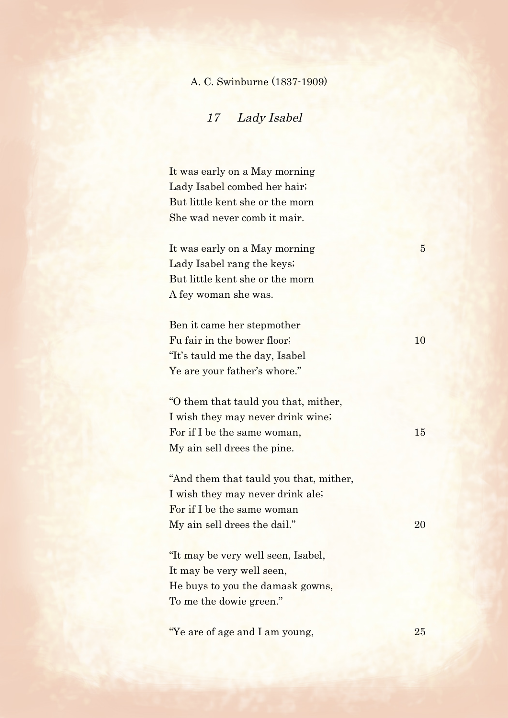## A. C. Swinburne (1837-1909)

17 Lady Isabel

It was early on a May morning Lady Isabel combed her hair; But little kent she or the morn She wad never comb it mair.

It was early on a May morning 5 Lady Isabel rang the keys; But little kent she or the morn A fey woman she was.

Ben it came her stepmother Fu fair in the bower floor; 10 "It's tauld me the day, Isabel Ye are your father's whore."

"O them that tauld you that, mither, I wish they may never drink wine; For if I be the same woman, 15 My ain sell drees the pine.

"And them that tauld you that, mither, I wish they may never drink ale; For if I be the same woman My ain sell drees the dail." 20

"It may be very well seen, Isabel, It may be very well seen, He buys to you the damask gowns, To me the dowie green."

"Ye are of age and I am young, 25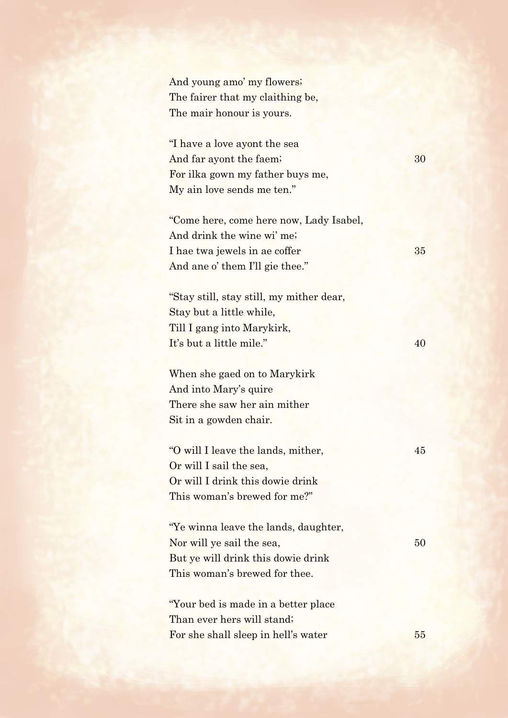And young amo' my flowers; The fairer that my claithing be, The mair honour is yours.

"I have a love ayont the sea And far ayont the faem; 30 For ilka gown my father buys me, My ain love sends me ten."

"Come here, come here now, Lady Isabel, And drink the wine wi' me; I hae twa jewels in ae coffer 35 And ane o' them I'll gie thee."

"Stay still, stay still, my mither dear, Stay but a little while, Till I gang into Marykirk, It's but a little mile."  $40$ 

When she gaed on to Marykirk And into Mary's quire There she saw her ain mither Sit in a gowden chair.

"O will I leave the lands, mither, 45 Or will I sail the sea, Or will I drink this dowie drink This woman's brewed for me?"

"Ye winna leave the lands, daughter, Nor will ye sail the sea, 50 But ye will drink this dowie drink This woman's brewed for thee.

"Your bed is made in a better place Than ever hers will stand; For she shall sleep in hell's water 55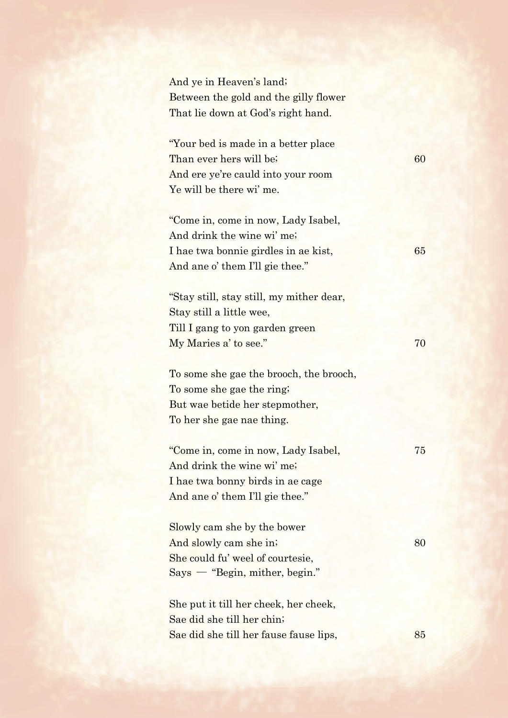| And ye in Heaven's land;<br>Between the gold and the gilly flower<br>That lie down at God's right hand.                                      |    |
|----------------------------------------------------------------------------------------------------------------------------------------------|----|
| "Your bed is made in a better place"<br>Than ever hers will be;<br>And ere ye're cauld into your room<br>Ye will be there wi' me.            | 60 |
| "Come in, come in now, Lady Isabel,<br>And drink the wine wi' me;<br>I hae twa bonnie girdles in ae kist,<br>And ane o' them I'll gie thee." | 65 |
| "Stay still, stay still, my mither dear,<br>Stay still a little wee,<br>Till I gang to yon garden green<br>My Maries a' to see."             | 70 |
| To some she gae the brooch, the brooch,<br>To some she gae the ring.<br>But wae betide her stepmother,<br>To her she gae nae thing.          |    |
| "Come in, come in now, Lady Isabel,<br>And drink the wine wi' me;<br>I hae twa bonny birds in ae cage<br>And ane o' them I'll gie thee."     | 75 |
| Slowly cam she by the bower<br>And slowly cam she in.<br>She could fu' weel of courtesie,<br>$Says$ — "Begin, mither, begin."                | 80 |
| She put it till her cheek, her cheek,<br>Sae did she till her chin;<br>Sae did she till her fause fause lips,                                | 85 |